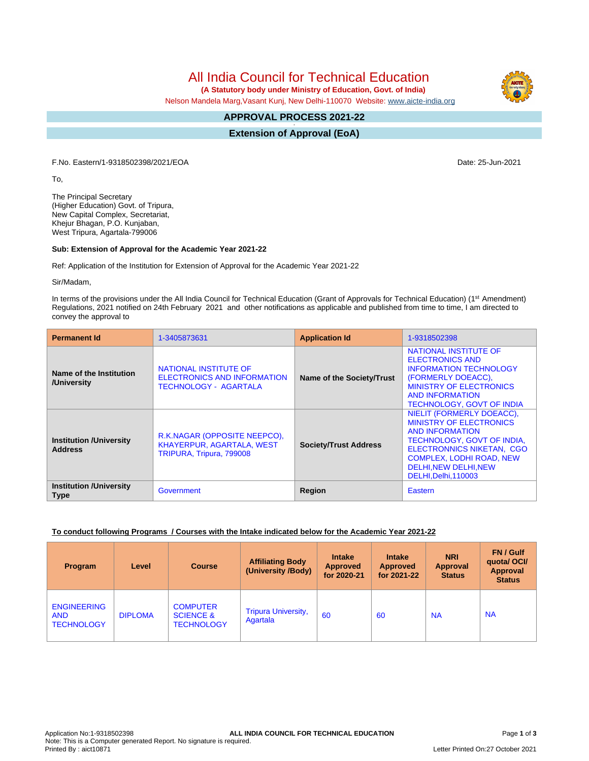# All India Council for Technical Education

 **(A Statutory body under Ministry of Education, Govt. of India)**

Nelson Mandela Marg,Vasant Kunj, New Delhi-110070 Website: [www.aicte-india.org](http://www.aicte-india.org)

#### **APPROVAL PROCESS 2021-22 -**

**Extension of Approval (EoA)**

F.No. Eastern/1-9318502398/2021/EOA Date: 25-Jun-2021

To,

The Principal Secretary (Higher Education) Govt. of Tripura, New Capital Complex, Secretariat, Khejur Bhagan, P.O. Kunjaban, West Tripura, Agartala-799006

### **Sub: Extension of Approval for the Academic Year 2021-22**

Ref: Application of the Institution for Extension of Approval for the Academic Year 2021-22

Sir/Madam,

In terms of the provisions under the All India Council for Technical Education (Grant of Approvals for Technical Education) (1<sup>st</sup> Amendment) Regulations, 2021 notified on 24th February 2021 and other notifications as applicable and published from time to time, I am directed to convey the approval to

| <b>Permanent Id</b>                              | 1-3405873631                                                                          | <b>Application Id</b>        | 1-9318502398                                                                                                                                                                                                                            |  |
|--------------------------------------------------|---------------------------------------------------------------------------------------|------------------------------|-----------------------------------------------------------------------------------------------------------------------------------------------------------------------------------------------------------------------------------------|--|
| Name of the Institution<br>/University           | NATIONAL INSTITUTE OF<br>ELECTRONICS AND INFORMATION<br><b>TECHNOLOGY - AGARTALA</b>  | Name of the Society/Trust    | NATIONAL INSTITUTE OF<br><b>ELECTRONICS AND</b><br><b>INFORMATION TECHNOLOGY</b><br>(FORMERLY DOEACC),<br><b>MINISTRY OF ELECTRONICS</b><br><b>AND INFORMATION</b><br><b>TECHNOLOGY, GOVT OF INDIA</b>                                  |  |
| <b>Institution /University</b><br><b>Address</b> | R.K.NAGAR (OPPOSITE NEEPCO),<br>KHAYERPUR, AGARTALA, WEST<br>TRIPURA, Tripura, 799008 | <b>Society/Trust Address</b> | NIELIT (FORMERLY DOEACC),<br><b>MINISTRY OF ELECTRONICS</b><br><b>AND INFORMATION</b><br>TECHNOLOGY, GOVT OF INDIA,<br><b>ELECTRONNICS NIKETAN, CGO</b><br><b>COMPLEX, LODHI ROAD, NEW</b><br>DELHI.NEW DELHI.NEW<br>DELHI.Delhi.110003 |  |
| <b>Institution /University</b><br><b>Type</b>    | Government                                                                            | <b>Region</b>                | Eastern                                                                                                                                                                                                                                 |  |

#### **To conduct following Programs / Courses with the Intake indicated below for the Academic Year 2021-22**

| Program                                               | Level          | <b>Course</b>                                                | <b>Affiliating Body</b><br>(University /Body) | <b>Intake</b><br><b>Approved</b><br>for 2020-21 | <b>Intake</b><br><b>Approved</b><br>for 2021-22 | <b>NRI</b><br><b>Approval</b><br><b>Status</b> | FN / Gulf<br>quotal OCI/<br>Approval<br><b>Status</b> |
|-------------------------------------------------------|----------------|--------------------------------------------------------------|-----------------------------------------------|-------------------------------------------------|-------------------------------------------------|------------------------------------------------|-------------------------------------------------------|
| <b>ENGINEERING</b><br><b>AND</b><br><b>TECHNOLOGY</b> | <b>DIPLOMA</b> | <b>COMPUTER</b><br><b>SCIENCE &amp;</b><br><b>TECHNOLOGY</b> | <b>Tripura University,</b><br>Agartala        | 60                                              | 60                                              | <b>NA</b>                                      | <b>NA</b>                                             |

Letter Printed On:27 October 2021

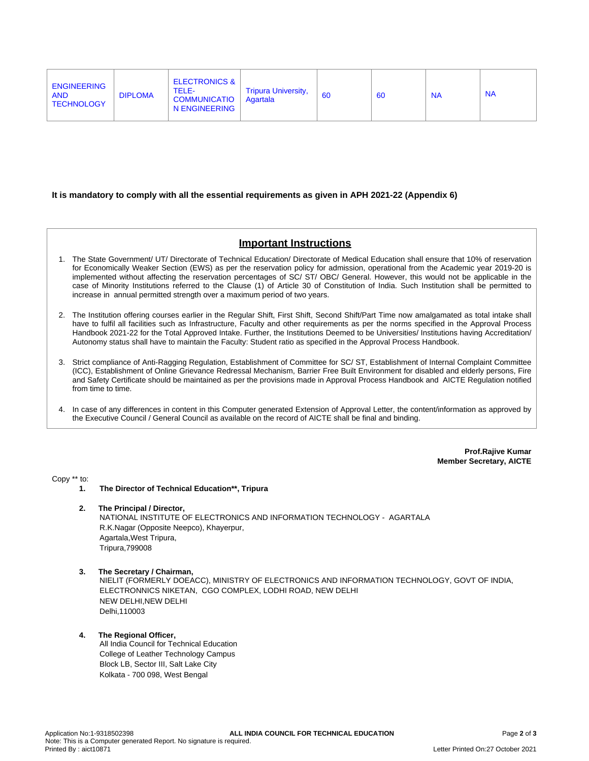| <b>ENGINEERING</b><br><b>AND</b><br><b>TECHNOLOGY</b> | TELE-<br><b>DIPLOMA</b><br><b>COMMUNICATIO</b><br>N ENGINEERING | <b>ELECTRONICS &amp;</b><br><b>Tripura University,</b><br>Agartala | <b>60</b> | 60 | <b>NA</b> | <b>NA</b> |
|-------------------------------------------------------|-----------------------------------------------------------------|--------------------------------------------------------------------|-----------|----|-----------|-----------|
|                                                       |                                                                 |                                                                    |           |    |           |           |

### **It is mandatory to comply with all the essential requirements as given in APH 2021-22 (Appendix 6)**

# **Important Instructions**

- 1. The State Government/ UT/ Directorate of Technical Education/ Directorate of Medical Education shall ensure that 10% of reservation for Economically Weaker Section (EWS) as per the reservation policy for admission, operational from the Academic year 2019-20 is implemented without affecting the reservation percentages of SC/ ST/ OBC/ General. However, this would not be applicable in the case of Minority Institutions referred to the Clause (1) of Article 30 of Constitution of India. Such Institution shall be permitted to increase in annual permitted strength over a maximum period of two years.
- 2. The Institution offering courses earlier in the Regular Shift, First Shift, Second Shift/Part Time now amalgamated as total intake shall have to fulfil all facilities such as Infrastructure, Faculty and other requirements as per the norms specified in the Approval Process Handbook 2021-22 for the Total Approved Intake. Further, the Institutions Deemed to be Universities/ Institutions having Accreditation/ Autonomy status shall have to maintain the Faculty: Student ratio as specified in the Approval Process Handbook.
- 3. Strict compliance of Anti-Ragging Regulation, Establishment of Committee for SC/ ST, Establishment of Internal Complaint Committee (ICC), Establishment of Online Grievance Redressal Mechanism, Barrier Free Built Environment for disabled and elderly persons, Fire and Safety Certificate should be maintained as per the provisions made in Approval Process Handbook and AICTE Regulation notified from time to time.
- 4. In case of any differences in content in this Computer generated Extension of Approval Letter, the content/information as approved by the Executive Council / General Council as available on the record of AICTE shall be final and binding.

**Prof.Rajive Kumar Member Secretary, AICTE**

Copy \*\* to:

- **1. The Director of Technical Education\*\*, Tripura**
- **2. The Principal / Director,** NATIONAL INSTITUTE OF ELECTRONICS AND INFORMATION TECHNOLOGY - AGARTALA R.K.Nagar (Opposite Neepco), Khayerpur, Agartala,West Tripura, Tripura,799008
- **3. The Secretary / Chairman,** NIELIT (FORMERLY DOEACC), MINISTRY OF ELECTRONICS AND INFORMATION TECHNOLOGY, GOVT OF INDIA, ELECTRONNICS NIKETAN, CGO COMPLEX, LODHI ROAD, NEW DELHI NEW DELHI,NEW DELHI Delhi,110003

#### **4. The Regional Officer,** All India Council for Technical Education College of Leather Technology Campus Block LB, Sector III, Salt Lake City Kolkata - 700 098, West Bengal